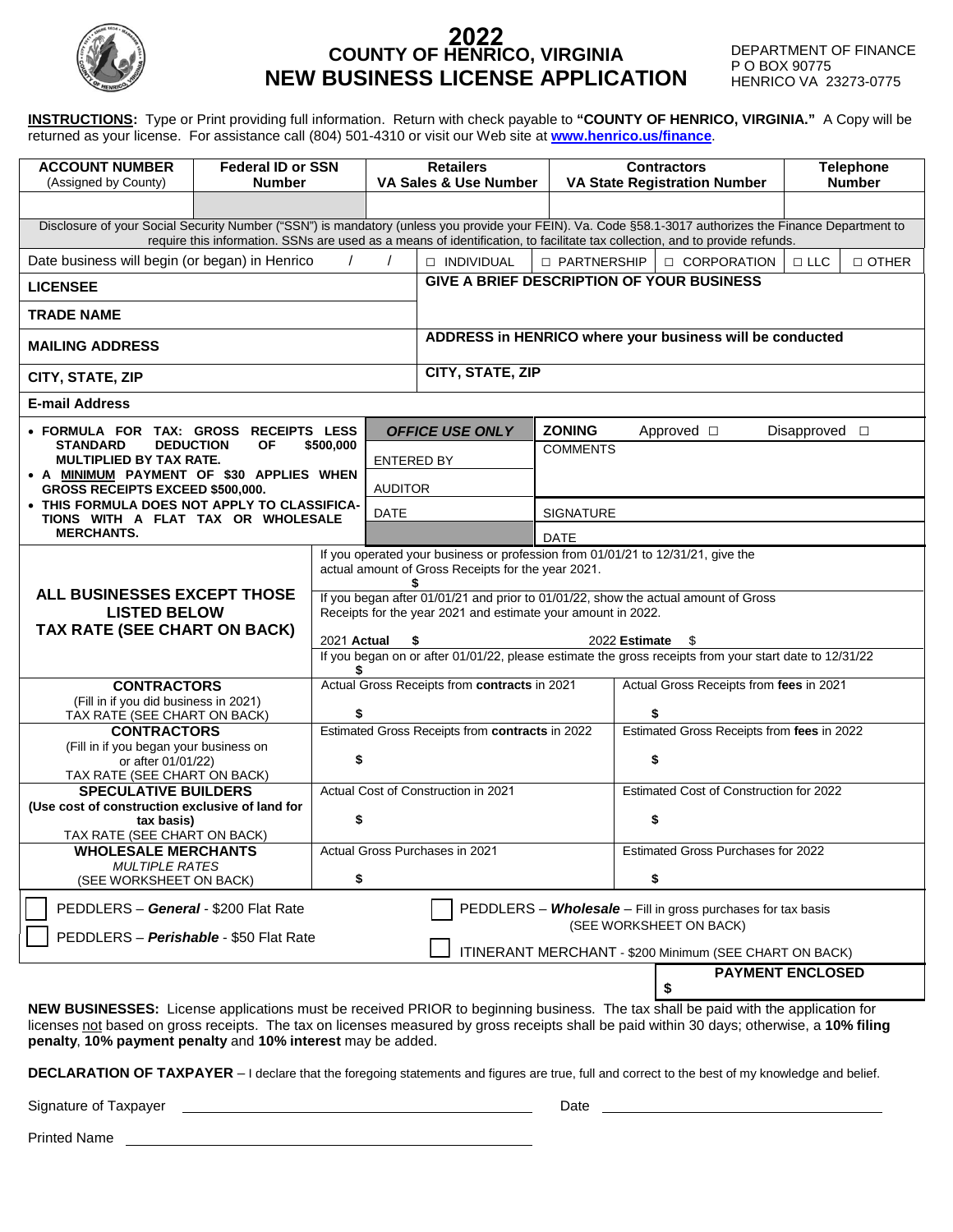

#### **2022 COUNTY OF HENRICO, VIRGINIA NEW BUSINESS LICENSE APPLICATION**

DEPARTMENT OF FINANCE P O BOX 90775 HENRICO VA 23273-0775

**[www.henrico.us/finance](http://www.henrico.us/finance)**. **INSTRUCTIONS:** Type or Print providing full information. Return with check payable to **"COUNTY OF HENRICO, VIRGINIA."** A Copy will be returned as your license. For assistance call (804) 501-4310 or visit our Web site at

| <b>ACCOUNT NUMBER</b><br>(Assigned by County)                                                                                                                                                                                                                                                                                                  | <b>Federal ID or SSN</b><br><b>Number</b> |    |                              | <b>Retailers</b><br>VA Sales & Use Number                                                                          |                                           | <b>Contractors</b><br><b>VA State Registration Number</b>                                                                                                                                                                                                                              | <b>Telephone</b><br><b>Number</b> |
|------------------------------------------------------------------------------------------------------------------------------------------------------------------------------------------------------------------------------------------------------------------------------------------------------------------------------------------------|-------------------------------------------|----|------------------------------|--------------------------------------------------------------------------------------------------------------------|-------------------------------------------|----------------------------------------------------------------------------------------------------------------------------------------------------------------------------------------------------------------------------------------------------------------------------------------|-----------------------------------|
|                                                                                                                                                                                                                                                                                                                                                |                                           |    |                              |                                                                                                                    |                                           |                                                                                                                                                                                                                                                                                        |                                   |
|                                                                                                                                                                                                                                                                                                                                                |                                           |    |                              |                                                                                                                    |                                           | Disclosure of your Social Security Number ("SSN") is mandatory (unless you provide your FEIN). Va. Code §58.1-3017 authorizes the Finance Department to<br>require this information. SSNs are used as a means of identification, to facilitate tax collection, and to provide refunds. |                                   |
| Date business will begin (or began) in Henrico<br>$\prime$<br>$\prime$                                                                                                                                                                                                                                                                         |                                           |    |                              | <b>NDIVIDUAL</b>                                                                                                   | □ PARTNERSHIP                             | <b>CORPORATION</b>                                                                                                                                                                                                                                                                     | $\Box$ LLC<br>$\Box$ OTHER        |
| <b>LICENSEE</b>                                                                                                                                                                                                                                                                                                                                |                                           |    |                              |                                                                                                                    | GIVE A BRIEF DESCRIPTION OF YOUR BUSINESS |                                                                                                                                                                                                                                                                                        |                                   |
| <b>TRADE NAME</b>                                                                                                                                                                                                                                                                                                                              |                                           |    |                              |                                                                                                                    |                                           |                                                                                                                                                                                                                                                                                        |                                   |
| <b>MAILING ADDRESS</b>                                                                                                                                                                                                                                                                                                                         |                                           |    |                              | ADDRESS in HENRICO where your business will be conducted                                                           |                                           |                                                                                                                                                                                                                                                                                        |                                   |
| CITY, STATE, ZIP                                                                                                                                                                                                                                                                                                                               |                                           |    |                              | <b>CITY, STATE, ZIP</b>                                                                                            |                                           |                                                                                                                                                                                                                                                                                        |                                   |
| <b>E-mail Address</b>                                                                                                                                                                                                                                                                                                                          |                                           |    |                              |                                                                                                                    |                                           |                                                                                                                                                                                                                                                                                        |                                   |
| · FORMULA FOR TAX: GROSS RECEIPTS LESS<br><b>OF</b><br><b>STANDARD</b><br><b>DEDUCTION</b><br>\$500,000<br><b>MULTIPLIED BY TAX RATE.</b><br>• A MINIMUM PAYMENT OF \$30 APPLIES WHEN<br>GROSS RECEIPTS EXCEED \$500,000.                                                                                                                      |                                           |    | ENTERED BY<br><b>AUDITOR</b> | <b>OFFICE USE ONLY</b>                                                                                             | <b>ZONING</b><br><b>COMMENTS</b>          | Approved □                                                                                                                                                                                                                                                                             | Disapproved $\square$             |
| • THIS FORMULA DOES NOT APPLY TO CLASSIFICA-<br>TIONS WITH A FLAT TAX OR WHOLESALE                                                                                                                                                                                                                                                             |                                           |    | <b>DATE</b>                  |                                                                                                                    | <b>SIGNATURE</b>                          |                                                                                                                                                                                                                                                                                        |                                   |
| <b>MERCHANTS.</b>                                                                                                                                                                                                                                                                                                                              |                                           |    |                              |                                                                                                                    | <b>DATE</b>                               |                                                                                                                                                                                                                                                                                        |                                   |
| If you operated your business or profession from 01/01/21 to 12/31/21, give the<br>ALL BUSINESSES EXCEPT THOSE<br><b>LISTED BELOW</b><br>TAX RATE (SEE CHART ON BACK)<br>2021 Actual                                                                                                                                                           |                                           |    | \$                           | actual amount of Gross Receipts for the year 2021.<br>Receipts for the year 2021 and estimate your amount in 2022. |                                           | If you began after 01/01/21 and prior to 01/01/22, show the actual amount of Gross<br>2022 Estimate<br>\$<br>If you began on or after 01/01/22, please estimate the gross receipts from your start date to 12/31/22                                                                    |                                   |
| <b>CONTRACTORS</b>                                                                                                                                                                                                                                                                                                                             |                                           |    |                              | Actual Gross Receipts from contracts in 2021                                                                       |                                           | Actual Gross Receipts from fees in 2021                                                                                                                                                                                                                                                |                                   |
| (Fill in if you did business in 2021)<br>TAX RATE (SEE CHART ON BACK)                                                                                                                                                                                                                                                                          |                                           | \$ |                              |                                                                                                                    |                                           | \$                                                                                                                                                                                                                                                                                     |                                   |
| <b>CONTRACTORS</b><br>(Fill in if you began your business on<br>or after 01/01/22)<br>TAX RATE (SEE CHART ON BACK)                                                                                                                                                                                                                             |                                           | \$ |                              | Estimated Gross Receipts from contracts in 2022                                                                    |                                           | Estimated Gross Receipts from fees in 2022<br>\$                                                                                                                                                                                                                                       |                                   |
| <b>SPECULATIVE BUILDERS</b>                                                                                                                                                                                                                                                                                                                    |                                           |    |                              | Actual Cost of Construction in 2021                                                                                |                                           | Estimated Cost of Construction for 2022                                                                                                                                                                                                                                                |                                   |
| (Use cost of construction exclusive of land for<br>tax basis)<br>TAX RATE (SEE CHART ON BACK)                                                                                                                                                                                                                                                  |                                           | \$ |                              |                                                                                                                    |                                           | \$                                                                                                                                                                                                                                                                                     |                                   |
| <b>WHOLESALE MERCHANTS</b><br><b>MULTIPLE RATES</b>                                                                                                                                                                                                                                                                                            |                                           |    |                              | Actual Gross Purchases in 2021                                                                                     |                                           | <b>Estimated Gross Purchases for 2022</b>                                                                                                                                                                                                                                              |                                   |
| (SEE WORKSHEET ON BACK)                                                                                                                                                                                                                                                                                                                        |                                           | \$ |                              |                                                                                                                    |                                           | \$                                                                                                                                                                                                                                                                                     |                                   |
| PEDDLERS - General - \$200 Flat Rate<br>PEDDLERS - Wholesale - Fill in gross purchases for tax basis<br>(SEE WORKSHEET ON BACK)<br>PEDDLERS - Perishable - \$50 Flat Rate<br>ITINERANT MERCHANT - \$200 Minimum (SEE CHART ON BACK)                                                                                                            |                                           |    |                              |                                                                                                                    |                                           |                                                                                                                                                                                                                                                                                        |                                   |
|                                                                                                                                                                                                                                                                                                                                                |                                           |    |                              |                                                                                                                    |                                           | \$                                                                                                                                                                                                                                                                                     | <b>PAYMENT ENCLOSED</b>           |
| NEW BUSINESSES: License applications must be received PRIOR to beginning business. The tax shall be paid with the application for<br>licenses not based on gross receipts. The tax on licenses measured by gross receipts shall be paid within 30 days; otherwise, a 10% filing<br>penalty, 10% payment penalty and 10% interest may be added. |                                           |    |                              |                                                                                                                    |                                           |                                                                                                                                                                                                                                                                                        |                                   |

**DECLARATION OF TAXPAYER** – I declare that the foregoing statements and figures are true, full and correct to the best of my knowledge and belief.

Signature of Taxpayer Date

Printed Name
<br>
<u>
</u>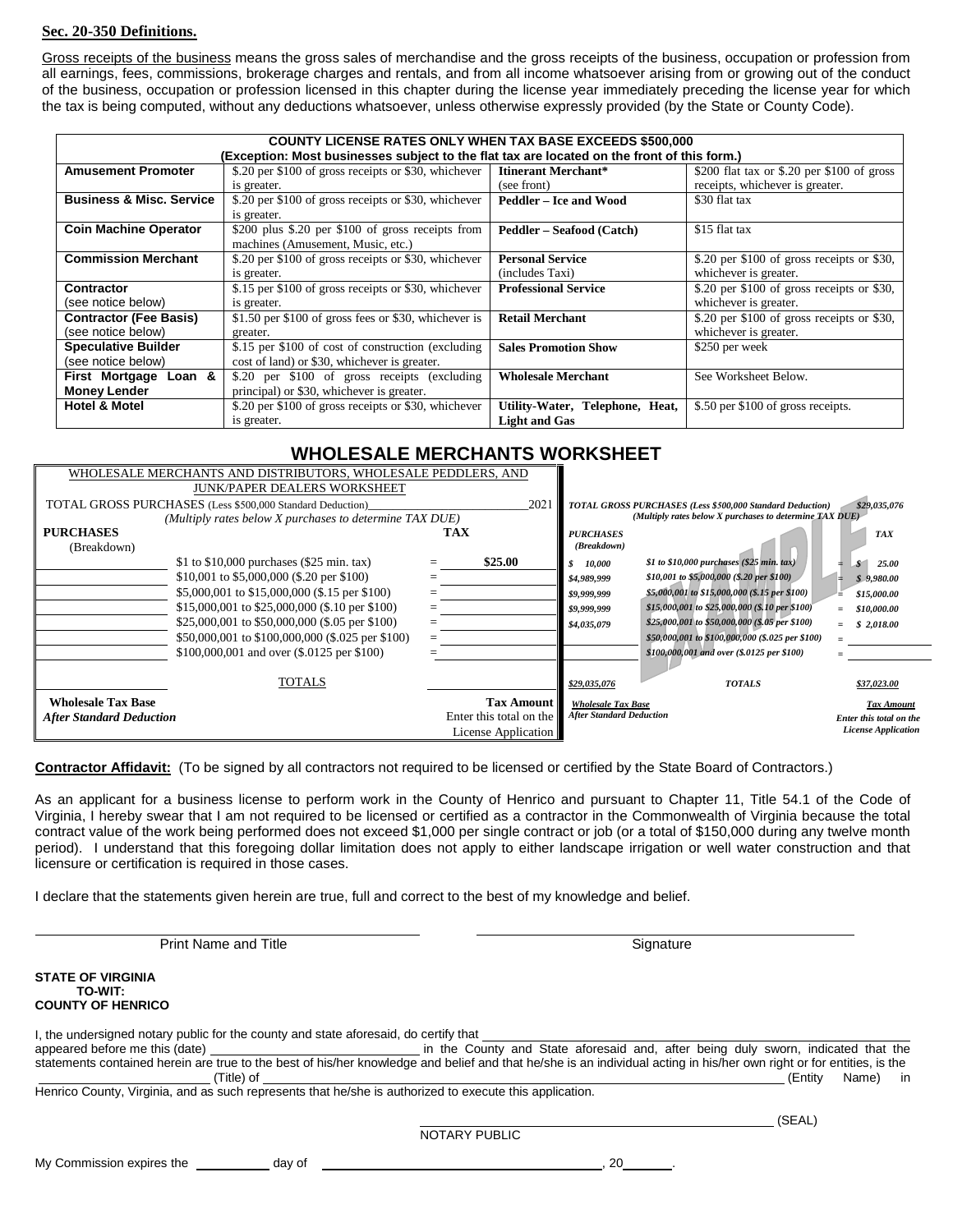#### **Sec. 20-350 Definitions.**

Gross receipts of the business means the gross sales of merchandise and the gross receipts of the business, occupation or profession from all earnings, fees, commissions, brokerage charges and rentals, and from all income whatsoever arising from or growing out of the conduct of the business, occupation or profession licensed in this chapter during the license year immediately preceding the license year for which the tax is being computed, without any deductions whatsoever, unless otherwise expressly provided (by the State or County Code).

|                                     | <b>COUNTY LICENSE RATES ONLY WHEN TAX BASE EXCEEDS \$500,000</b>                            |                                 |                                             |  |  |
|-------------------------------------|---------------------------------------------------------------------------------------------|---------------------------------|---------------------------------------------|--|--|
|                                     | (Exception: Most businesses subject to the flat tax are located on the front of this form.) |                                 |                                             |  |  |
| <b>Amusement Promoter</b>           | \$.20 per \$100 of gross receipts or \$30, whichever                                        | Itinerant Merchant*             | \$200 flat tax or \$.20 per \$100 of gross  |  |  |
|                                     | is greater.                                                                                 | (see front)                     | receipts, whichever is greater.             |  |  |
| <b>Business &amp; Misc. Service</b> | \$.20 per \$100 of gross receipts or \$30, whichever                                        | Peddler - Ice and Wood          | \$30 flat tax                               |  |  |
|                                     | is greater.                                                                                 |                                 |                                             |  |  |
| <b>Coin Machine Operator</b>        | \$200 plus \$.20 per \$100 of gross receipts from                                           | Peddler – Seafood (Catch)       | \$15 flat tax                               |  |  |
|                                     | machines (Amusement, Music, etc.)                                                           |                                 |                                             |  |  |
| <b>Commission Merchant</b>          | \$.20 per \$100 of gross receipts or \$30, whichever                                        | <b>Personal Service</b>         | \$.20 per $$100$ of gross receipts or \$30, |  |  |
|                                     | is greater.                                                                                 | (includes Taxi)                 | whichever is greater.                       |  |  |
| <b>Contractor</b>                   | \$.15 per \$100 of gross receipts or \$30, whichever                                        | <b>Professional Service</b>     | $$.20$ per \$100 of gross receipts or \$30, |  |  |
| (see notice below)                  | is greater.                                                                                 |                                 | whichever is greater.                       |  |  |
| <b>Contractor (Fee Basis)</b>       | \$1.50 per \$100 of gross fees or \$30, whichever is                                        | <b>Retail Merchant</b>          | \$.20 per $$100$ of gross receipts or \$30, |  |  |
| (see notice below)                  | greater.                                                                                    |                                 | whichever is greater.                       |  |  |
| <b>Speculative Builder</b>          | \$.15 per \$100 of cost of construction (excluding                                          | <b>Sales Promotion Show</b>     | \$250 per week                              |  |  |
| (see notice below)                  | cost of land) or \$30, whichever is greater.                                                |                                 |                                             |  |  |
| First Mortgage Loan &               | \$.20 per \$100 of gross receipts (excluding                                                | <b>Wholesale Merchant</b>       | See Worksheet Below.                        |  |  |
| <b>Money Lender</b>                 | principal) or \$30, whichever is greater.                                                   |                                 |                                             |  |  |
| <b>Hotel &amp; Motel</b>            | \$.20 per \$100 of gross receipts or \$30, whichever                                        | Utility-Water, Telephone, Heat, | \$.50 per \$100 of gross receipts.          |  |  |
|                                     | is greater.                                                                                 | <b>Light and Gas</b>            |                                             |  |  |

### **WHOLESALE MERCHANTS WORKSHEET**

| WHOLESALE MERCHANTS AND DISTRIBUTORS, WHOLESALE PEDDLERS, AND |                                                           |            |                         |                                 |                                                                  |                            |
|---------------------------------------------------------------|-----------------------------------------------------------|------------|-------------------------|---------------------------------|------------------------------------------------------------------|----------------------------|
| <b>JUNK/PAPER DEALERS WORKSHEET</b>                           |                                                           |            |                         |                                 |                                                                  |                            |
|                                                               | TOTAL GROSS PURCHASES (Less \$500,000 Standard Deduction) |            | 2021                    |                                 | <b>TOTAL GROSS PURCHASES (Less \$500,000 Standard Deduction)</b> | \$29,035,076               |
|                                                               | (Multiply rates below X purchases to determine TAX DUE)   |            |                         |                                 | (Multiply rates below X purchases to determine TAX DUE)          |                            |
| <b>PURCHASES</b>                                              |                                                           | <b>TAX</b> |                         | <b>PURCHASES</b>                |                                                                  | <b>TAX</b>                 |
| (Breakdown)                                                   |                                                           |            |                         | (Breakdown)                     |                                                                  |                            |
|                                                               | \$1 to \$10,000 purchases $(\$25$ min. tax)               |            | \$25.00                 | S.<br>10.000                    | \$1 to \$10,000 purchases $(\$25$ min. tax)                      | 25.00<br>$\mathbf{s}$      |
|                                                               | \$10,001 to \$5,000,000 (\$.20 per \$100)                 |            |                         | \$4,989,999                     | \$10,001 to \$5,000,000 (\$.20 per \$100)                        | \$9,980.00                 |
|                                                               | \$5,000,001 to \$15,000,000 (\$.15 per \$100)             |            |                         | \$9,999,999                     | \$5,000,001 to \$15,000,000 (\$.15 per \$100)                    | \$15,000.00                |
|                                                               | \$15,000,001 to \$25,000,000 (\$.10 per \$100)            |            |                         | \$9,999,999                     | \$15,000,001 to \$25,000,000 (\$.10 per \$100)                   | \$10,000.00                |
|                                                               | \$25,000,001 to \$50,000,000 (\$.05 per \$100)            |            |                         | \$4,035,079                     | \$25,000,001 to \$50,000,000 (\$.05 per \$100)                   | \$2,018.00                 |
|                                                               | \$50,000,001 to \$100,000,000 (\$.025 per \$100)          | $=$        |                         |                                 | \$50,000,001 to \$100,000,000 (\$.025 per \$100)                 |                            |
|                                                               | \$100,000,001 and over (\$.0125 per \$100)                |            |                         |                                 | \$100,000,001 and over (\$.0125 per \$100)                       |                            |
|                                                               |                                                           |            |                         |                                 |                                                                  |                            |
|                                                               | TOTALS                                                    |            |                         | \$29,035,076                    | <b>TOTALS</b>                                                    | \$37,023.00                |
| <b>Wholesale Tax Base</b>                                     |                                                           |            | <b>Tax Amount II</b>    | <b>Wholesale Tax Base</b>       |                                                                  | <b>Tax Amount</b>          |
| <b>After Standard Deduction</b>                               |                                                           |            | Enter this total on the | <b>After Standard Deduction</b> |                                                                  | Enter this total on the    |
|                                                               |                                                           |            | License Application     |                                 |                                                                  | <b>License Application</b> |

**Contractor Affidavit:** (To be signed by all contractors not required to be licensed or certified by the State Board of Contractors.)

As an applicant for a business license to perform work in the County of Henrico and pursuant to Chapter 11, Title 54.1 of the Code of Virginia, I hereby swear that I am not required to be licensed or certified as a contractor in the Commonwealth of Virginia because the total contract value of the work being performed does not exceed \$1,000 per single contract or job (or a total of \$150,000 during any twelve month period). I understand that this foregoing dollar limitation does not apply to either landscape irrigation or well water construction and that licensure or certification is required in those cases.

I declare that the statements given herein are true, full and correct to the best of my knowledge and belief.

| <b>Print Name and Title</b>                                                                                                                                                                                   | Signature                                                                                                                                                             |                            |
|---------------------------------------------------------------------------------------------------------------------------------------------------------------------------------------------------------------|-----------------------------------------------------------------------------------------------------------------------------------------------------------------------|----------------------------|
| STATE OF VIRGINIA<br><b>TO-WIT:</b><br><b>COUNTY OF HENRICO</b>                                                                                                                                               |                                                                                                                                                                       |                            |
| I, the undersigned notary public for the county and state aforesaid, do certify that<br>(Title) of<br>Henrico County, Virginia, and as such represents that he/she is authorized to execute this application. | statements contained herein are true to the best of his/her knowledge and belief and that he/she is an individual acting in his/her own right or for entities, is the | in in<br>(Entity)<br>Name) |
|                                                                                                                                                                                                               | (SEAL)<br><b>NOTARY PUBLIC</b>                                                                                                                                        |                            |
| My Commission expires the ______<br>dav of                                                                                                                                                                    | 20                                                                                                                                                                    |                            |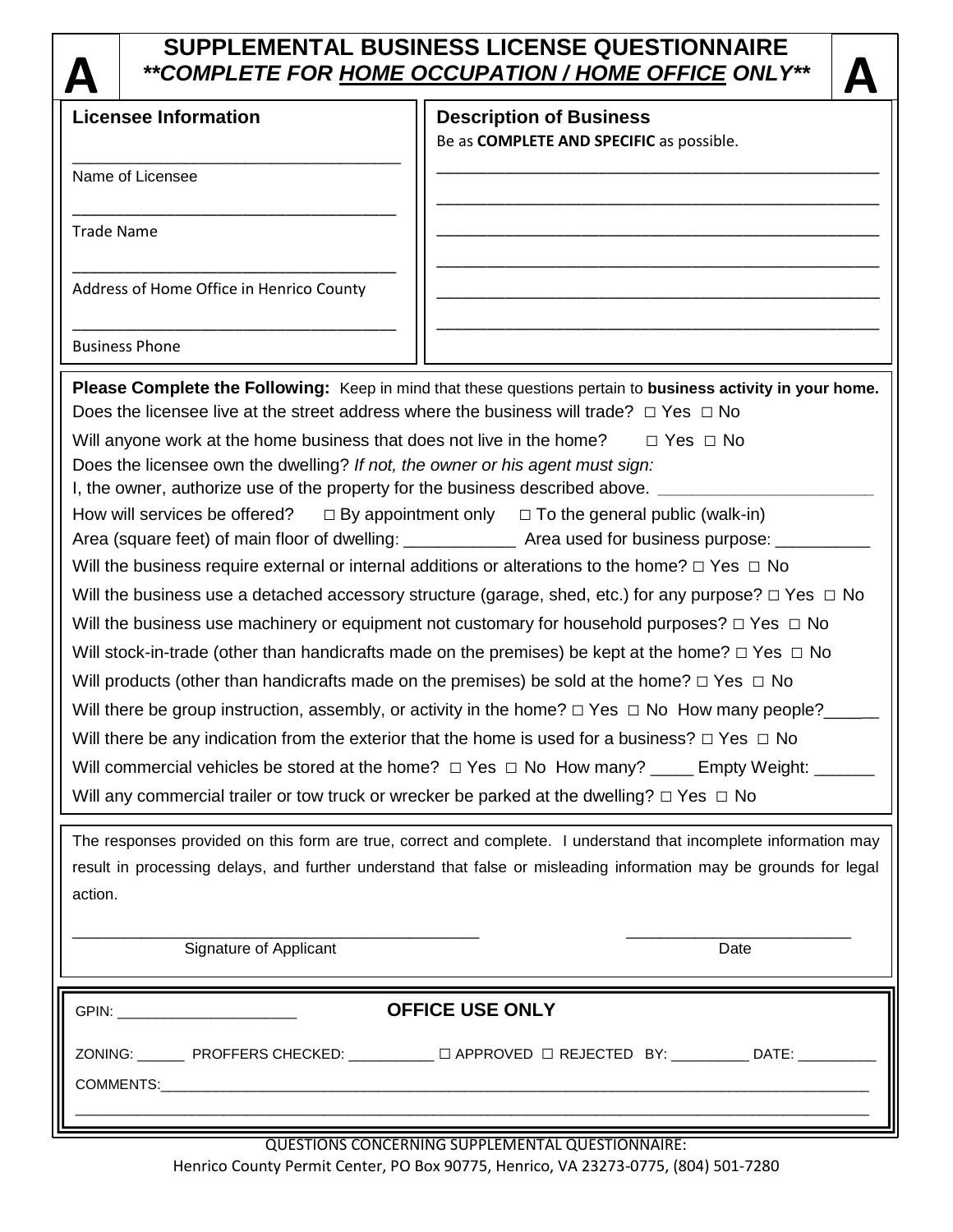# **SUPPLEMENTAL BUSINESS LICENSE QUESTIONNAIRE**

|                   |                                                                                                                   | **COMPLETE FOR HOME OCCUPATION / HOME OFFICE ONLY**                                                                                                                           |  |  |  |
|-------------------|-------------------------------------------------------------------------------------------------------------------|-------------------------------------------------------------------------------------------------------------------------------------------------------------------------------|--|--|--|
|                   | <b>Licensee Information</b>                                                                                       | <b>Description of Business</b>                                                                                                                                                |  |  |  |
|                   |                                                                                                                   | Be as COMPLETE AND SPECIFIC as possible.                                                                                                                                      |  |  |  |
|                   | Name of Licensee                                                                                                  |                                                                                                                                                                               |  |  |  |
| <b>Trade Name</b> |                                                                                                                   |                                                                                                                                                                               |  |  |  |
|                   | Address of Home Office in Henrico County                                                                          |                                                                                                                                                                               |  |  |  |
|                   | <b>Business Phone</b>                                                                                             |                                                                                                                                                                               |  |  |  |
|                   |                                                                                                                   | Please Complete the Following: Keep in mind that these questions pertain to business activity in your home.                                                                   |  |  |  |
|                   |                                                                                                                   | Does the licensee live at the street address where the business will trade? $\Box$ Yes $\Box$ No                                                                              |  |  |  |
|                   | Will anyone work at the home business that does not live in the home?                                             | $\Box$ Yes $\Box$ No                                                                                                                                                          |  |  |  |
|                   | Does the licensee own the dwelling? If not, the owner or his agent must sign:                                     |                                                                                                                                                                               |  |  |  |
|                   | I, the owner, authorize use of the property for the business described above.                                     |                                                                                                                                                                               |  |  |  |
|                   | How will services be offered?                                                                                     | $\Box$ By appointment only $\Box$ To the general public (walk-in)<br>Area (square feet) of main floor of dwelling: _______________ Area used for business purpose: __________ |  |  |  |
|                   |                                                                                                                   | Will the business require external or internal additions or alterations to the home? $\Box$ Yes $\Box$ No                                                                     |  |  |  |
|                   |                                                                                                                   | Will the business use a detached accessory structure (garage, shed, etc.) for any purpose? $\Box$ Yes $\Box$ No                                                               |  |  |  |
|                   |                                                                                                                   | Will the business use machinery or equipment not customary for household purposes? $\Box$ Yes $\Box$ No                                                                       |  |  |  |
|                   |                                                                                                                   |                                                                                                                                                                               |  |  |  |
|                   |                                                                                                                   | Will stock-in-trade (other than handicrafts made on the premises) be kept at the home? $\Box$ Yes $\Box$ No                                                                   |  |  |  |
|                   |                                                                                                                   | Will products (other than handicrafts made on the premises) be sold at the home? $\Box$ Yes $\Box$ No                                                                         |  |  |  |
|                   |                                                                                                                   | Will there be group instruction, assembly, or activity in the home? $\Box$ Yes $\Box$ No How many people?                                                                     |  |  |  |
|                   |                                                                                                                   | Will there be any indication from the exterior that the home is used for a business? $\Box$ Yes $\Box$ No                                                                     |  |  |  |
|                   | Will commercial vehicles be stored at the home? $\Box$ Yes $\Box$ No How many? _____ Empty Weight: ____           |                                                                                                                                                                               |  |  |  |
|                   |                                                                                                                   | Will any commercial trailer or tow truck or wrecker be parked at the dwelling? $\Box$ Yes $\Box$ No                                                                           |  |  |  |
|                   |                                                                                                                   | The responses provided on this form are true, correct and complete. I understand that incomplete information may                                                              |  |  |  |
|                   | result in processing delays, and further understand that false or misleading information may be grounds for legal |                                                                                                                                                                               |  |  |  |
| action.           |                                                                                                                   |                                                                                                                                                                               |  |  |  |
|                   |                                                                                                                   |                                                                                                                                                                               |  |  |  |
|                   | Signature of Applicant                                                                                            | Date                                                                                                                                                                          |  |  |  |

| GPIN: _____________________________ | <b>OFFICE USE ONLY</b>                                                                    |  |
|-------------------------------------|-------------------------------------------------------------------------------------------|--|
|                                     | ZONING: ________ PROFFERS CHECKED: ___________ □ APPROVED □ REJECTED BY: __________ DATE: |  |
|                                     |                                                                                           |  |

QUESTIONS CONCERNING SUPPLEMENTAL QUESTIONNAIRE: Henrico County Permit Center, PO Box 90775, Henrico, VA 23273-0775, (804) 501-7280

 $\sim$